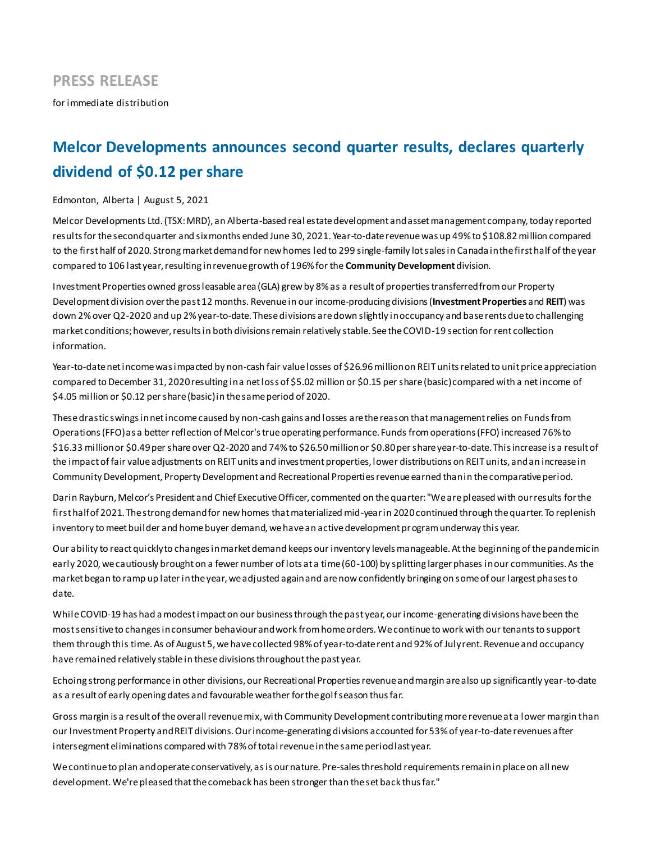for immediate distribution

# **Melcor Developments announces second quarter results, declares quarterly dividend of \$0.12 per share**

### Edmonton, Alberta | August 5, 2021

Melcor Developments Ltd. (TSX: MRD), an Alberta-based real estate development and asset management company, today reported results for the second quarter and six months ended June 30, 2021. Year-to-date revenue was up 49% to \$108.82million compared to the first half of 2020. Strong market demand for new homes led to 299 single-family lot sales in Canada in the first half of the year compared to 106 last year, resulting in revenue growth of 196% for the **Community Development** division.

Investment Properties owned gross leasable area (GLA) grew by 8% as a result of properties transferred from our Property Development division over the past 12 months. Revenue in our income-producing divisions (**Investment Properties** and **REIT**) was down 2% over Q2-2020 and up 2% year-to-date. These divisions are down slightly in occupancy and base rents due to challenging market conditions; however, results in both divisions remain relatively stable. See the COVID-19 section for rent collection information.

Year-to-date net income was impacted by non-cash fair value losses of \$26.96 million on REIT units related to unit price appreciation compared to December 31, 2020 resulting in a net loss of \$5.02 million or \$0.15 per share (basic) compared with a net income of \$4.05 million or \$0.12 per share (basic) in the same period of 2020.

These drastic swings in net income caused by non-cash gains and losses are the reason that management relies on Funds from Operations (FFO) as a better reflection of Melcor's true operating performance. Funds from operations (FFO) increased 76% to \$16.33 million or \$0.49 per share over Q2-2020 and 74% to \$26.50million or \$0.80 per share year-to-date. This increase is a result of the impact of fair value adjustments on REIT units and investment properties, lower distributions on REIT units, and an increase in Community Development, Property Development and Recreational Properties revenue earned than in the comparative period.

Darin Rayburn, Melcor's President and Chief Executive Officer, commented on the quarter: "We are pleased with our results for the first half of 2021. The strong demand for new homes that materialized mid-year in 2020 continued through the quarter. To replenish inventory to meet builder and home buyer demand, we have an active development program underway this year.

Our ability to react quickly to changes in market demand keeps our inventory levels manageable. At the beginning of the pandemic in early 2020, we cautiously brought on a fewer number of lots at a time (60-100) by splitting larger phases in our communities. As the market began to ramp up later in the year, we adjusted again and are now confidently bringing on some of our largest phases to date.

While COVID-19 has had a modest impact on our business through the past year, our income-generating divisions have been the most sensitive to changes in consumer behaviour and work from home orders. We continue to work with our tenants to support them through this time. As of August 5, we have collected 98% of year-to-date rent and 92% of July rent. Revenue and occupancy have remained relatively stable in these divisions throughout the past year.

Echoing strong performance in other divisions, our Recreational Properties revenue and margin are also up significantly year-to-date as a result of early opening dates and favourable weather for the golf season thus far.

Gross margin is a result of the overall revenue mix, with Community Development contributing more revenue at a lower margin than our Investment Property and REIT divisions. Our income-generating divisions accounted for 53% of year-to-date revenues after intersegment eliminations compared with 78% of total revenue in the same period last year.

We continue to plan and operate conservatively, as is our nature. Pre-sales threshold requirements remain in place on all new development. We're pleased that the comeback has been stronger than the set back thus far."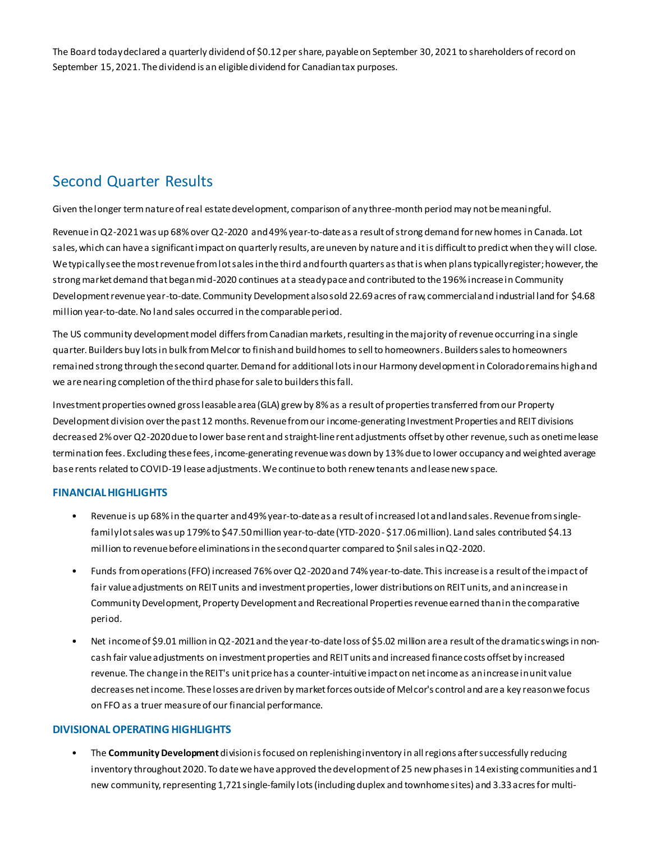The Board today declared a quarterly dividend of \$0.12 per share, payable on September 30, 2021 to shareholders of record on September 15, 2021. The dividend is an eligible dividend for Canadian tax purposes.

# Second Quarter Results

Given the longer term nature of real estate development, comparison of any three-month period may not be meaningful.

Revenue in Q2-2021 was up 68% over Q2-2020 and 49% year-to-date as a result of strong demand for new homes in Canada. Lot sales, which can have a significant impact on quarterly results, are uneven by nature and it is difficult to predict when they will close. We typically see the most revenue from lot sales in the third and fourth quarters as that is when plans typically register; however, the strong market demand that began mid-2020 continues at a steady pace and contributed to the 196% increase in Community Development revenue year-to-date. Community Development also sold 22.69 acres of raw, commercial and industrial land for \$4.68 million year-to-date. No land sales occurred in the comparable period.

The US community development model differs from Canadian markets, resulting in the majority of revenue occurring in a single quarter. Builders buy lots in bulk from Melcor to finish and build homes to sell to homeowners. Builders sales to homeowners remained strong through the second quarter. Demand for additional lots in our Harmony development in Colorado remains high and we are nearing completion of the third phase for sale to builders this fall.

Investment properties owned gross leasable area (GLA) grew by 8% as a result of properties transferred from our Property Development division overthe past 12 months. Revenue from our income-generating Investment Properties and REIT divisions decreased 2% over Q2-2020 due to lower base rent and straight-line rent adjustments offset by other revenue, such as onetime lease termination fees. Excluding these fees, income-generating revenue was down by 13% due to lower occupancy and weighted average base rents related to COVID-19 lease adjustments. We continue to both renew tenants and lease new space.

# **FINANCIAL HIGHLIGHTS**

- Revenue is up 68% in the quarter and 49% year-to-date as a result of increased lot and land sales. Revenue from singlefamily lot sales was up 179% to \$47.50 million year-to-date (YTD-2020 - \$17.06 million). Land sales contributed \$4.13 million to revenue before eliminations in the second quarter compared to \$nil sales in Q2-2020.
- Funds from operations (FFO) increased 76% over Q2-2020 and 74% year-to-date. This increase is a result of the impact of fair value adjustments on REIT units and investment properties, lower distributions on REIT units, and an increase in Community Development, Property Development and Recreational Properties revenue earned than in the comparative period.
- Net income of \$9.01 million in Q2-2021 and the year-to-date loss of \$5.02 million are a result of the dramatic swings in noncash fair value adjustments on investment properties and REIT units and increased finance costs offset by increased revenue. The change in the REIT's unit price has a counter-intuitive impact on net income as an increase in unit value decreases net income. These losses are driven by market forces outside of Melcor's control and are a key reason we focus on FFO as a truer measure of our financial performance.

### **DIVISIONAL OPERATING HIGHLIGHTS**

• The **Community Development** division isfocused on replenishing inventory in all regions after successfully reducing inventory throughout 2020. To date we have approved the development of 25 new phases in 14 existing communities and 1 new community, representing 1,721 single-family lots (including duplex and townhome sites) and 3.33 acres for multi-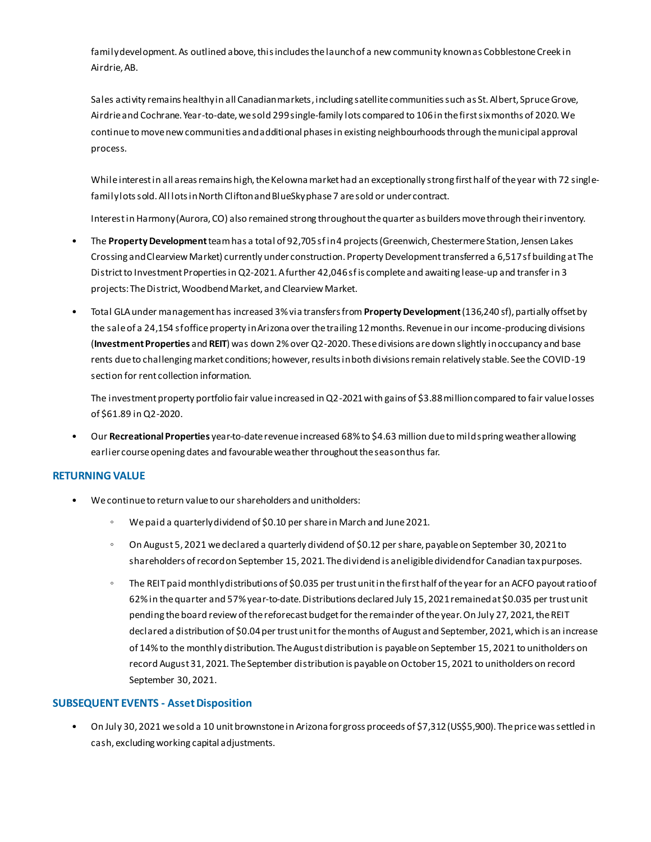family development. As outlined above, this includes the launch of a new community known as Cobblestone Creek in Airdrie, AB.

Sales activity remains healthy in all Canadian markets, including satellite communities such as St. Albert, Spruce Grove, Airdrie and Cochrane. Year-to-date, we sold 299 single-family lots compared to 106 in the first six months of 2020. We continue to move new communities and additional phases in existing neighbourhoods through the municipal approval process.

While interest in all areas remains high, the Kelowna market had an exceptionally strong first half of the year with 72 singlefamily lots sold. All lots in North Clifton and BlueSky phase 7 are sold or under contract.

Interest in Harmony (Aurora, CO) also remained strong throughout the quarter as builders move through their inventory.

- The **Property Development**team has a total of 92,705 sf in 4 projects (Greenwich, Chestermere Station, Jensen Lakes Crossing and Clearview Market) currently under construction. Property Development transferred a 6,517 sf building at The District to Investment Properties in Q2-2021. A further 42,046 sf is complete and awaiting lease-up and transfer in 3 projects: The District, Woodbend Market, and Clearview Market.
- Total GLA under management has increased 3% via transfers from **Property Development**(136,240 sf), partially offset by the sale of a 24,154 sf office property in Arizona over the trailing 12 months. Revenue in our income-producing divisions (**Investment Properties** and **REIT**) was down 2% over Q2-2020. These divisions are down slightly in occupancy and base rents due to challenging market conditions; however, results in both divisions remain relatively stable. See the COVID-19 section for rent collection information.

The investment property portfolio fair value increased in Q2-2021 with gains of \$3.88 million compared to fair value losses of \$61.89 in Q2-2020.

• Our **Recreational Properties** year-to-date revenue increased 68% to \$4.63 million due to mild spring weather allowing earlier course opening dates and favourable weather throughout the season thus far.

# **RETURNING VALUE**

- We continue to return value to our shareholders and unitholders:
	- We paid a quarterly dividend of \$0.10 per share in March and June 2021.
	- On August 5, 2021 we declared a quarterly dividend of \$0.12 per share, payable on September 30, 2021 to shareholders of record on September 15, 2021. The dividend is an eligible dividend for Canadian tax purposes.
	- The REIT paid monthly distributions of \$0.035 per trust unit in the first half of the year for an ACFO payout ratio of 62% in the quarter and 57% year-to-date. Distributions declared July 15, 2021 remained at \$0.035 per trust unit pending the board review of the reforecast budget for the remainder of the year. On July 27, 2021, the REIT declared a distribution of \$0.04 per trust unit for the months of August and September, 2021, which is an increase of 14% to the monthly distribution. The August distribution is payable on September 15, 2021 to unitholders on record August 31, 2021. The September distribution is payable on October 15, 2021 to unitholders on record September 30, 2021.

# **SUBSEQUENT EVENTS - Asset Disposition**

• On July 30, 2021 we sold a 10 unit brownstone in Arizona for gross proceeds of \$7,312 (US\$5,900). The price was settled in cash, excluding working capital adjustments.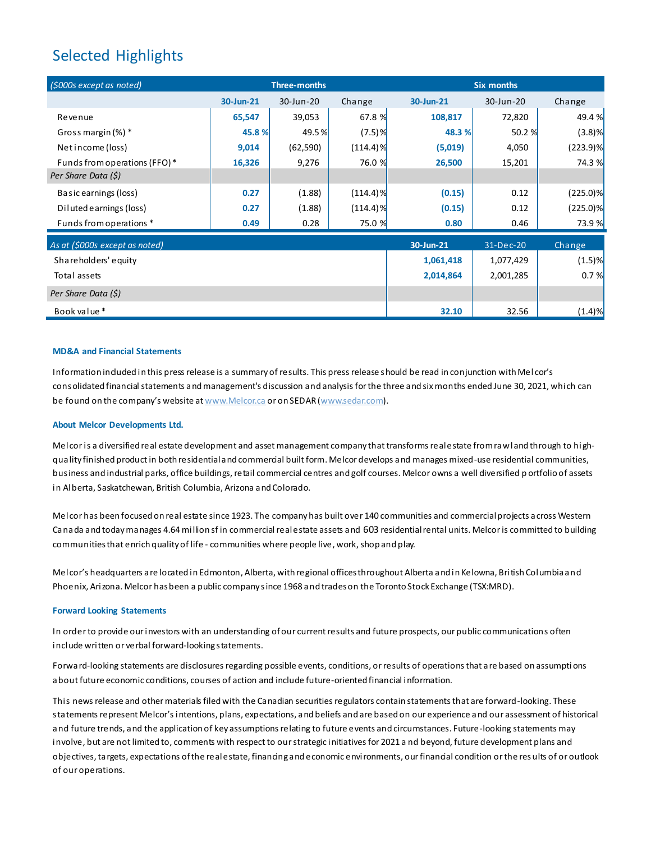# Selected Highlights

| (\$000s except as noted)       | <b>Three-months</b> |           |             | <b>Six months</b> |           |             |
|--------------------------------|---------------------|-----------|-------------|-------------------|-----------|-------------|
|                                | 30-Jun-21           | 30-Jun-20 | Change      | 30-Jun-21         | 30-Jun-20 | Change      |
| Revenue                        | 65,547              | 39,053    | 67.8 %      | 108,817           | 72,820    | 49.4 %      |
| Gross margin $(\%)$ *          | 45.8%               | 49.5%     | $(7.5)$ %   | 48.3 %            | 50.2 %    | (3.8)%      |
| Netincome (loss)               | 9,014               | (62, 590) | $(114.4)\%$ | (5,019)           | 4,050     | $(223.9)\%$ |
| Funds from operations (FFO)*   | 16,326              | 9,276     | 76.0 %      | 26,500            | 15,201    | 74.3 %      |
| Per Share Data (\$)            |                     |           |             |                   |           |             |
| Basic earnings (loss)          | 0.27                | (1.88)    | $(114.4)\%$ | (0.15)            | 0.12      | $(225.0)\%$ |
| Diluted earnings (loss)        | 0.27                | (1.88)    | $(114.4)\%$ | (0.15)            | 0.12      | $(225.0)$ % |
| Funds from operations *        | 0.49                | 0.28      | 75.0 %      | 0.80              | 0.46      | 73.9 %      |
| As at (\$000s except as noted) |                     |           |             | 30-Jun-21         | 31-Dec-20 | Change      |
| Shareholders' equity           |                     |           |             | 1,061,418         | 1,077,429 | $(1.5)$ %   |
| Total assets                   |                     |           |             | 2,014,864         | 2,001,285 | 0.7%        |
| Per Share Data (\$)            |                     |           |             |                   |           |             |
| Book value*                    |                     |           |             | 32.10             | 32.56     | (1.4)%      |

#### **MD&A and Financial Statements**

Information included in this press release is a summary of results. This press release should be read in conjunction with Mel cor's consolidated financial statements and management's discussion and analysis for the three and six months ended June 30, 2021, which can be found on the company's website at www.Melcor.ca or on SEDAR (www.sedar.com).

#### **About Melcor Developments Ltd.**

Melcoris a diversified real estate development and asset management company that transforms real estate from raw land through to hi ghquality finished product in both residential and commercial built form. Melcor develops and manages mixed-use residential communities, business and industrial parks, office buildings, retail commercial centres and golf courses. Melcor owns a well diversified p ortfolio of assets in Alberta, Saskatchewan, British Columbia, Arizona and Colorado.

Melcor has been focused on real estate since 1923. The company has built over 140 communities and commercial projects across Western Canada and today manages 4.64 million sf in commercial real estate assets and 603 residential rental units. Melcor is committed to building communities that enrich quality of life - communities where people live, work, shop and play.

Melcor's headquarters are located in Edmonton, Alberta, with regional offices throughout Alberta and in Kelowna, British Columbia and Phoenix, Arizona. Melcor has been a public company since 1968 and trades on the Toronto Stock Exchange (TSX:MRD).

#### **Forward Looking Statements**

In order to provide our investors with an understanding of our current results and future prospects, our public communications often include written or verbal forward-looking statements.

Forward-looking statements are disclosures regarding possible events, conditions, or results of operations that are based on assumptions about future economic conditions, courses of action and include future-oriented financial information.

This news release and other materials filed with the Canadian securities regulators contain statements that are forward-looking. These statements represent Melcor's intentions, plans, expectations, and beliefs and are based on our experience and our assessment of historical and future trends, and the application of key assumptions relating to future events and circumstances. Future-looking statements may involve, but are not limited to, comments with respect to our strategic initiatives for 2021 a nd beyond, future development plans and objectives, targets, expectations of the real estate, financing and economic environments, our financial condition or the res ults of or outlook of our operations.